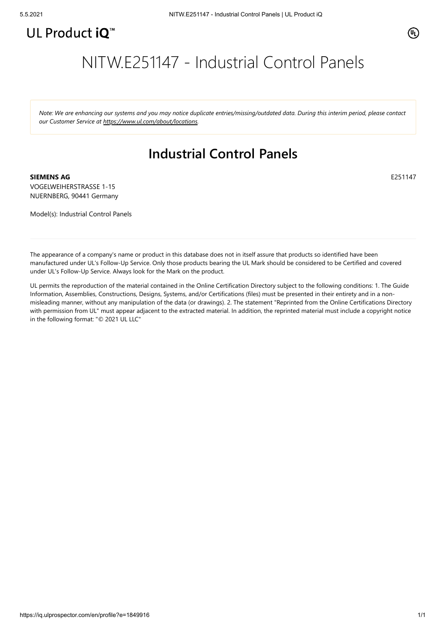

E251147

## NITW.E251147 - Industrial Control Panels

Note: We are enhancing our systems and you may notice duplicate entries/missing/outdated data. During this interim period, please contact *our Customer Service at [https://www.ul.com/about/locations.](https://www.ul.com/about/locations)*

## **Industrial Control Panels**

**SIEMENS AG** VOGELWEIHERSTRASSE 1-15 NUERNBERG, 90441 Germany

Model(s): Industrial Control Panels

The appearance of a company's name or product in this database does not in itself assure that products so identified have been manufactured under UL's Follow-Up Service. Only those products bearing the UL Mark should be considered to be Certified and covered under UL's Follow-Up Service. Always look for the Mark on the product.

UL permits the reproduction of the material contained in the Online Certification Directory subject to the following conditions: 1. The Guide Information, Assemblies, Constructions, Designs, Systems, and/or Certifications (files) must be presented in their entirety and in a nonmisleading manner, without any manipulation of the data (or drawings). 2. The statement "Reprinted from the Online Certifications Directory with permission from UL" must appear adjacent to the extracted material. In addition, the reprinted material must include a copyright notice in the following format: "© 2021 UL LLC"